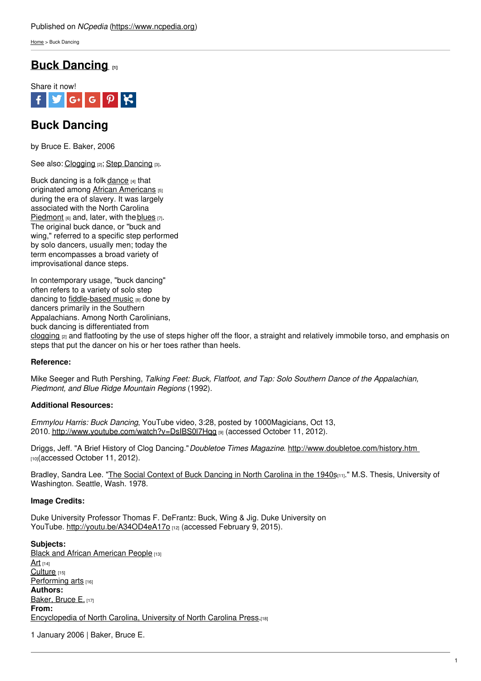[Home](https://www.ncpedia.org/) > Buck Dancing

# **Buck [Dancing](https://www.ncpedia.org/buck-dancing) [1]**



# **Buck Dancing**

by Bruce E. Baker, 2006

See also: [Clogging](https://www.ncpedia.org/clogging) [2]; Step [Dancing](https://www.ncpedia.org/step-dancing) [3].

Buck dancing is a folk [dance](https://www.ncpedia.org/dance) [4] that originated among African [Americans](https://www.ncpedia.org/african-americans/introduction) [5] during the era of slavery. It was largely associated with the North Carolina [Piedmont](https://www.ncpedia.org/geography/region/piedmont) [6] and, later, with the [blue](https://www.ncpedia.org/blues)[s](http://www.social9.com) [7]. The original buck dance, or "buck and wing," referred to a specific step performed by solo dancers, usually men; today the term encompasses a broad variety of improvisational dance steps.

In contemporary usage, "buck dancing" often refers to a variety of solo step dancing to [fiddle-based](https://www.ncpedia.org/old-time-string-band-music) music [8] done by dancers primarily in the Southern Appalachians. Among North Carolinians, buck dancing is differentiated from [clogging](https://www.ncpedia.org/clogging)  $[2]$  and flatfooting by the use of steps higher off the floor, a straight and relatively immobile torso, and emphasis on steps that put the dancer on his or her toes rather than heels.

## **Reference:**

Mike Seeger and Ruth Pershing, *Talking Feet: Buck, Flatfoot, and Tap: Solo Southern Dance of the Appalachian, Piedmont, and Blue Ridge Mountain Regions* (1992).

## **Additional Resources:**

*Emmylou Harris: Buck Dancing*, YouTube video, 3:28, posted by 1000Magicians, Oct 13, 2010. http://www.youtube.com/watch?v=DsIBS0l7Hqq [9] (accessed October 11, 2012).

Driggs, Jeff. "A Brief History of Clog Dancing."*Doubletoe Times Magazine*. <http://www.doubletoe.com/history.htm> [10](accessed October 11, 2012).

Bradley, Sandra Lee. "The Social Context of Buck Dancing in North [Carolina](http://uwashington.worldcat.org/oclc/19652497) in the 1940s[11]." M.S. Thesis, University of Washington. Seattle, Wash. 1978.

### **Image Credits:**

Duke University Professor Thomas F. DeFrantz: Buck, Wing & Jig. Duke University on YouTube. <http://youtu.be/A34OD4eA17o> [12] (accessed February 9, 2015).

**Subjects:** Black and African [American](https://www.ncpedia.org/category/subjects/african-americans) People [13] [Art](https://www.ncpedia.org/category/subjects/art)  $[14]$ [Culture](https://www.ncpedia.org/category/subjects/culture) [15] [Performing](https://www.ncpedia.org/category/subjects/performing-arts) arts [16] **Authors:** [Baker,](https://www.ncpedia.org/category/authors/baker-bruce-e) Bruce E. [17] **From:** [Encyclopedia](https://www.ncpedia.org/category/entry-source/encyclopedia-) of North Carolina, University of North Carolina Press.[18]

1 January 2006 | Baker, Bruce E.